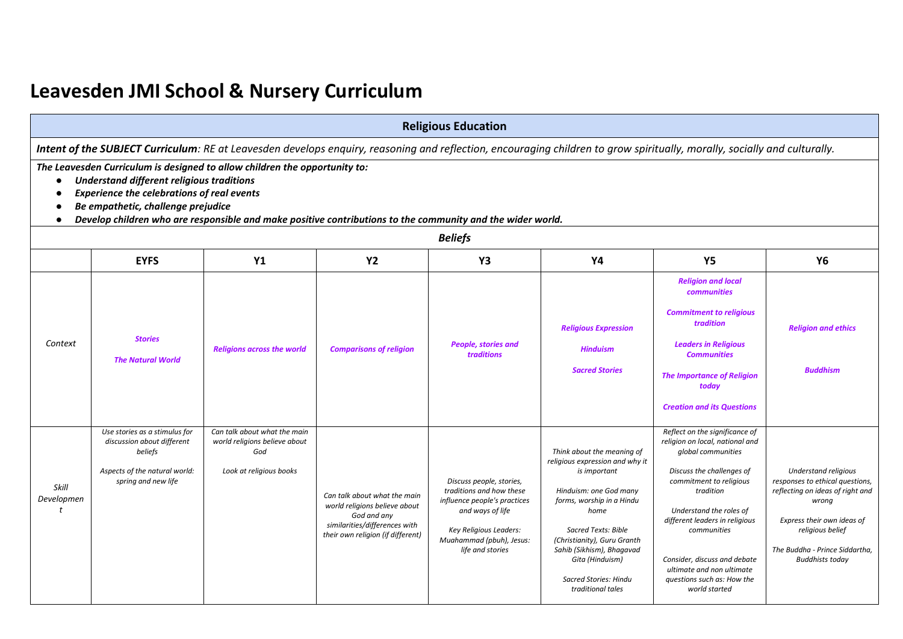## **Leavesden JMI School & Nursery Curriculum**

|                                         | <b>Religious Education</b>                                                                                                                                                                                                                                                                                                                                                                                                                                                                                    |                                                                                                 |                                                                                                                                                    |                                                                                                                                                                                    |                                                                                                                                                                                                                                                                                                  |                                                                                                                                                                                                                                                                                                                                                      |                                                                                                                                                                                                                    |  |  |
|-----------------------------------------|---------------------------------------------------------------------------------------------------------------------------------------------------------------------------------------------------------------------------------------------------------------------------------------------------------------------------------------------------------------------------------------------------------------------------------------------------------------------------------------------------------------|-------------------------------------------------------------------------------------------------|----------------------------------------------------------------------------------------------------------------------------------------------------|------------------------------------------------------------------------------------------------------------------------------------------------------------------------------------|--------------------------------------------------------------------------------------------------------------------------------------------------------------------------------------------------------------------------------------------------------------------------------------------------|------------------------------------------------------------------------------------------------------------------------------------------------------------------------------------------------------------------------------------------------------------------------------------------------------------------------------------------------------|--------------------------------------------------------------------------------------------------------------------------------------------------------------------------------------------------------------------|--|--|
|                                         |                                                                                                                                                                                                                                                                                                                                                                                                                                                                                                               |                                                                                                 |                                                                                                                                                    |                                                                                                                                                                                    |                                                                                                                                                                                                                                                                                                  |                                                                                                                                                                                                                                                                                                                                                      |                                                                                                                                                                                                                    |  |  |
| $\bullet$<br>$\bullet$                  | Intent of the SUBJECT Curriculum: RE at Leavesden develops enquiry, reasoning and reflection, encouraging children to grow spiritually, morally, socially and culturally.<br>The Leavesden Curriculum is designed to allow children the opportunity to:<br>Understand different religious traditions<br><b>Experience the celebrations of real events</b><br>Be empathetic, challenge prejudice<br>Develop children who are responsible and make positive contributions to the community and the wider world. |                                                                                                 |                                                                                                                                                    |                                                                                                                                                                                    |                                                                                                                                                                                                                                                                                                  |                                                                                                                                                                                                                                                                                                                                                      |                                                                                                                                                                                                                    |  |  |
|                                         |                                                                                                                                                                                                                                                                                                                                                                                                                                                                                                               |                                                                                                 |                                                                                                                                                    | <b>Beliefs</b>                                                                                                                                                                     |                                                                                                                                                                                                                                                                                                  |                                                                                                                                                                                                                                                                                                                                                      |                                                                                                                                                                                                                    |  |  |
|                                         | <b>EYFS</b>                                                                                                                                                                                                                                                                                                                                                                                                                                                                                                   | <b>Y1</b>                                                                                       | <b>Y2</b>                                                                                                                                          | Y3                                                                                                                                                                                 | <b>Y4</b>                                                                                                                                                                                                                                                                                        | <b>Y5</b>                                                                                                                                                                                                                                                                                                                                            | <b>Y6</b>                                                                                                                                                                                                          |  |  |
| Context                                 | <b>Stories</b><br><b>The Natural World</b>                                                                                                                                                                                                                                                                                                                                                                                                                                                                    | <b>Religions across the world</b>                                                               | <b>Comparisons of religion</b>                                                                                                                     | People, stories and<br>traditions                                                                                                                                                  | <b>Religious Expression</b><br><b>Hinduism</b><br><b>Sacred Stories</b>                                                                                                                                                                                                                          | <b>Religion and local</b><br>communities<br><b>Commitment to religious</b><br>tradition<br><b>Leaders in Religious</b><br><b>Communities</b><br><b>The Importance of Religion</b><br>today<br><b>Creation and its Questions</b>                                                                                                                      | <b>Religion and ethics</b><br><b>Buddhism</b>                                                                                                                                                                      |  |  |
| Skill<br>Developmen<br>$\boldsymbol{t}$ | Use stories as a stimulus for<br>discussion about different<br>beliefs<br>Aspects of the natural world:<br>spring and new life                                                                                                                                                                                                                                                                                                                                                                                | Can talk about what the main<br>world religions believe about<br>God<br>Look at religious books | Can talk about what the main<br>world religions believe about<br>God and any<br>similarities/differences with<br>their own religion (if different) | Discuss people, stories,<br>traditions and how these<br>influence people's practices<br>and ways of life<br>Key Religious Leaders:<br>Muahammad (pbuh), Jesus:<br>life and stories | Think about the meaning of<br>religious expression and why it<br>is important<br>Hinduism: one God many<br>forms, worship in a Hindu<br>home<br>Sacred Texts: Bible<br>(Christianity), Guru Granth<br>Sahib (Sikhism), Bhagavad<br>Gita (Hinduism)<br>Sacred Stories: Hindu<br>traditional tales | Reflect on the significance of<br>religion on local, national and<br>global communities<br>Discuss the challenges of<br>commitment to religious<br>tradition<br>Understand the roles of<br>different leaders in religious<br>communities<br>Consider, discuss and debate<br>ultimate and non ultimate<br>questions such as: How the<br>world started | Understand religious<br>responses to ethical questions,<br>reflecting on ideas of right and<br>wrong<br>Express their own ideas of<br>religious belief<br>The Buddha - Prince Siddartha,<br><b>Buddhists today</b> |  |  |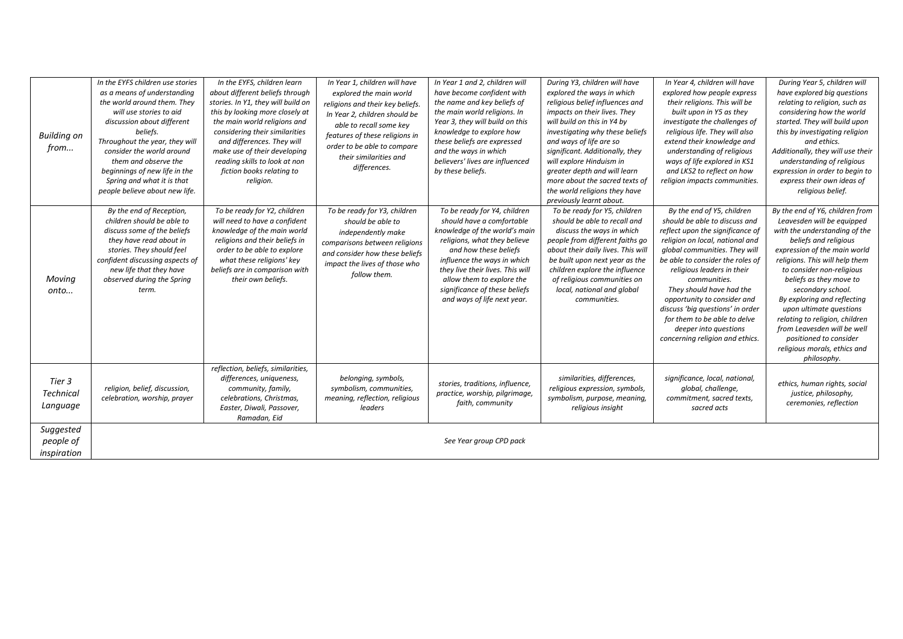| <b>Building on</b><br>from            | In the EYFS children use stories<br>as a means of understanding<br>the world around them. They<br>will use stories to aid<br>discussion about different<br>beliefs.<br>Throughout the year, they will<br>consider the world around<br>them and observe the<br>beginnings of new life in the<br>Spring and what it is that<br>people believe about new life. | In the EYFS, children learn<br>about different beliefs through<br>stories. In Y1, they will build on<br>this by looking more closely at<br>the main world religions and<br>considering their similarities<br>and differences. They will<br>make use of their developing<br>reading skills to look at non<br>fiction books relating to<br>religion. | In Year 1, children will have<br>explored the main world<br>religions and their key beliefs.<br>In Year 2, children should be<br>able to recall some key<br>features of these religions in<br>order to be able to compare<br>their similarities and<br>differences. | In Year 1 and 2, children will<br>have become confident with<br>the name and key beliefs of<br>the main world religions. In<br>Year 3, they will build on this<br>knowledge to explore how<br>these beliefs are expressed<br>and the ways in which<br>believers' lives are influenced<br>by these beliefs.          | During Y3, children will have<br>explored the ways in which<br>religious belief influences and<br>impacts on their lives. They<br>will build on this in Y4 by<br>investigating why these beliefs<br>and ways of life are so<br>significant. Additionally, they<br>will explore Hinduism in<br>greater depth and will learn<br>more about the sacred texts of<br>the world religions they have<br>previously learnt about. | In Year 4, children will have<br>explored how people express<br>their religions. This will be<br>built upon in Y5 as they<br>investigate the challenges of<br>religious life. They will also<br>extend their knowledge and<br>understanding of religious<br>ways of life explored in KS1<br>and LKS2 to reflect on how<br>religion impacts communities.                                                                                          | During Year 5, children will<br>have explored big questions<br>relating to religion, such as<br>considering how the world<br>started. They will build upon<br>this by investigating religion<br>and ethics.<br>Additionally, they will use their<br>understanding of religious<br>expression in order to begin to<br>express their own ideas of<br>religious belief.                                                                                                       |
|---------------------------------------|-------------------------------------------------------------------------------------------------------------------------------------------------------------------------------------------------------------------------------------------------------------------------------------------------------------------------------------------------------------|----------------------------------------------------------------------------------------------------------------------------------------------------------------------------------------------------------------------------------------------------------------------------------------------------------------------------------------------------|---------------------------------------------------------------------------------------------------------------------------------------------------------------------------------------------------------------------------------------------------------------------|---------------------------------------------------------------------------------------------------------------------------------------------------------------------------------------------------------------------------------------------------------------------------------------------------------------------|---------------------------------------------------------------------------------------------------------------------------------------------------------------------------------------------------------------------------------------------------------------------------------------------------------------------------------------------------------------------------------------------------------------------------|--------------------------------------------------------------------------------------------------------------------------------------------------------------------------------------------------------------------------------------------------------------------------------------------------------------------------------------------------------------------------------------------------------------------------------------------------|----------------------------------------------------------------------------------------------------------------------------------------------------------------------------------------------------------------------------------------------------------------------------------------------------------------------------------------------------------------------------------------------------------------------------------------------------------------------------|
| Moving<br>onto                        | By the end of Reception,<br>children should be able to<br>discuss some of the beliefs<br>they have read about in<br>stories. They should feel<br>confident discussing aspects of<br>new life that they have<br>observed during the Spring<br>term.                                                                                                          | To be ready for Y2, children<br>will need to have a confident<br>knowledge of the main world<br>religions and their beliefs in<br>order to be able to explore<br>what these religions' key<br>beliefs are in comparison with<br>their own beliefs.                                                                                                 | To be ready for Y3, children<br>should be able to<br>independently make<br>comparisons between religions<br>and consider how these beliefs<br>impact the lives of those who<br>follow them.                                                                         | To be ready for Y4, children<br>should have a comfortable<br>knowledge of the world's main<br>religions, what they believe<br>and how these beliefs<br>influence the ways in which<br>they live their lives. This will<br>allow them to explore the<br>significance of these beliefs<br>and ways of life next year. | To be ready for Y5, children<br>should be able to recall and<br>discuss the ways in which<br>people from different faiths go<br>about their daily lives. This will<br>be built upon next year as the<br>children explore the influence<br>of religious communities on<br>local, national and global<br>communities.                                                                                                       | By the end of Y5, children<br>should be able to discuss and<br>reflect upon the significance of<br>religion on local, national and<br>global communities. They will<br>be able to consider the roles of<br>religious leaders in their<br>communities.<br>They should have had the<br>opportunity to consider and<br>discuss 'big questions' in order<br>for them to be able to delve<br>deeper into questions<br>concerning religion and ethics. | By the end of Y6, children from<br>Leavesden will be equipped<br>with the understanding of the<br>beliefs and religious<br>expression of the main world<br>religions. This will help them<br>to consider non-religious<br>beliefs as they move to<br>secondary school.<br>By exploring and reflecting<br>upon ultimate questions<br>relating to religion, children<br>from Leavesden will be well<br>positioned to consider<br>religious morals, ethics and<br>philosophy. |
| Tier 3<br>Technical<br>Language       | religion, belief, discussion,<br>celebration, worship, prayer                                                                                                                                                                                                                                                                                               | reflection, beliefs, similarities,<br>differences, uniqueness,<br>community, family,<br>celebrations, Christmas,<br>Easter, Diwali, Passover,<br>Ramadan, Eid                                                                                                                                                                                      | belonging, symbols,<br>symbolism, communities,<br>meaning, reflection, religious<br>leaders                                                                                                                                                                         | stories, traditions, influence,<br>practice, worship, pilgrimage,<br>faith, community                                                                                                                                                                                                                               | similarities, differences,<br>religious expression, symbols,<br>symbolism, purpose, meaning,<br>religious insight                                                                                                                                                                                                                                                                                                         | significance, local, national,<br>global, challenge,<br>commitment, sacred texts,<br>sacred acts                                                                                                                                                                                                                                                                                                                                                 | ethics, human rights, social<br>justice, philosophy,<br>ceremonies, reflection                                                                                                                                                                                                                                                                                                                                                                                             |
| Suggested<br>people of<br>inspiration |                                                                                                                                                                                                                                                                                                                                                             |                                                                                                                                                                                                                                                                                                                                                    |                                                                                                                                                                                                                                                                     | See Year group CPD pack                                                                                                                                                                                                                                                                                             |                                                                                                                                                                                                                                                                                                                                                                                                                           |                                                                                                                                                                                                                                                                                                                                                                                                                                                  |                                                                                                                                                                                                                                                                                                                                                                                                                                                                            |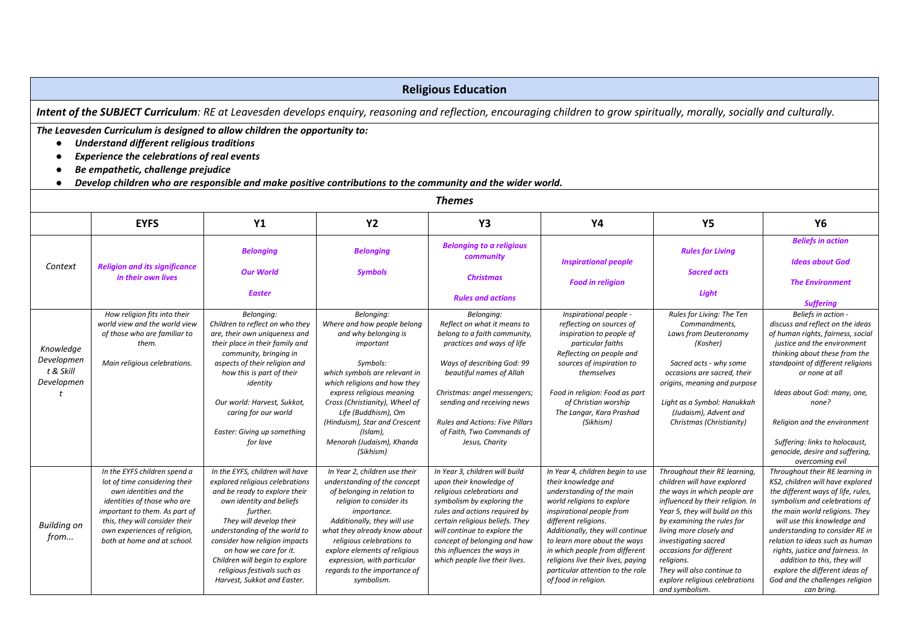## **Religious Education**

Intent of the SUBJECT Curriculum: RE at Leavesden develops enquiry, reasoning and reflection, encouraging children to grow spiritually, morally, socially and culturally.

*The Leavesden Curriculum is designed to allow children the opportunity to:* 

- *Understand different religious traditions*
- *Experience the celebrations of real events*
- *Be empathetic, challenge prejudice*
- *Develop children who are responsible and make positive contributions to the community and the wider world.*

| <b>Themes</b>                                      |                                                                                                                                                                                                                                                          |                                                                                                                                                                                                                                                                                                                                                                    |                                                                                                                                                                                                                                                                                                                                                   |                                                                                                                                                                                                                                                                                                                            |                                                                                                                                                                                                                                                                                                                                                                                 |                                                                                                                                                                                                                                                                                                                                                                                 |                                                                                                                                                                                                                                                                                                                                                                                                                                         |  |
|----------------------------------------------------|----------------------------------------------------------------------------------------------------------------------------------------------------------------------------------------------------------------------------------------------------------|--------------------------------------------------------------------------------------------------------------------------------------------------------------------------------------------------------------------------------------------------------------------------------------------------------------------------------------------------------------------|---------------------------------------------------------------------------------------------------------------------------------------------------------------------------------------------------------------------------------------------------------------------------------------------------------------------------------------------------|----------------------------------------------------------------------------------------------------------------------------------------------------------------------------------------------------------------------------------------------------------------------------------------------------------------------------|---------------------------------------------------------------------------------------------------------------------------------------------------------------------------------------------------------------------------------------------------------------------------------------------------------------------------------------------------------------------------------|---------------------------------------------------------------------------------------------------------------------------------------------------------------------------------------------------------------------------------------------------------------------------------------------------------------------------------------------------------------------------------|-----------------------------------------------------------------------------------------------------------------------------------------------------------------------------------------------------------------------------------------------------------------------------------------------------------------------------------------------------------------------------------------------------------------------------------------|--|
|                                                    | <b>EYFS</b>                                                                                                                                                                                                                                              | <b>Y1</b>                                                                                                                                                                                                                                                                                                                                                          | <b>Y2</b>                                                                                                                                                                                                                                                                                                                                         | Y3                                                                                                                                                                                                                                                                                                                         | Y4                                                                                                                                                                                                                                                                                                                                                                              | <b>Y5</b>                                                                                                                                                                                                                                                                                                                                                                       | Y6                                                                                                                                                                                                                                                                                                                                                                                                                                      |  |
| Context                                            | <b>Religion and its significance</b><br>in their own lives                                                                                                                                                                                               | <b>Belonging</b><br><b>Our World</b><br><b>Easter</b>                                                                                                                                                                                                                                                                                                              | <b>Belonging</b><br><b>Symbols</b>                                                                                                                                                                                                                                                                                                                | <b>Belonging to a religious</b><br>community<br><b>Christmas</b><br><b>Rules and actions</b>                                                                                                                                                                                                                               | <b>Inspirational people</b><br><b>Food in religion</b>                                                                                                                                                                                                                                                                                                                          | <b>Rules for Living</b><br><b>Sacred acts</b><br><b>Light</b>                                                                                                                                                                                                                                                                                                                   | <b>Beliefs in action</b><br><b>Ideas about God</b><br><b>The Environment</b><br><b>Suffering</b>                                                                                                                                                                                                                                                                                                                                        |  |
| Knowledge<br>Developmen<br>t & Skill<br>Developmen | How religion fits into their<br>world view and the world view<br>of those who are familiar to<br>them.<br>Main religious celebrations.                                                                                                                   | Belonging:<br>Children to reflect on who they<br>are, their own uniqueness and<br>their place in their family and<br>community, bringing in<br>aspects of their religion and<br>how this is part of their<br>identity<br>Our world: Harvest, Sukkot,<br>caring for our world<br>Easter: Giving up something<br>for love                                            | Belonging:<br>Where and how people belong<br>and why belonging is<br>important<br>Symbols:<br>which symbols are relevant in<br>which religions and how they<br>express religious meaning<br>Cross (Christianity), Wheel of<br>Life (Buddhism), Om<br>(Hinduism), Star and Crescent<br>(Islam),<br>Menorah (Judaism), Khanda<br>(Sikhism)          | Belonging:<br>Reflect on what it means to<br>belong to a faith community,<br>practices and ways of life<br>Ways of describing God: 99<br>beautiful names of Allah<br>Christmas: angel messengers;<br>sending and receiving news<br><b>Rules and Actions: Five Pillars</b><br>of Faith, Two Commands of<br>Jesus, Charity   | Inspirational people -<br>reflecting on sources of<br>inspiration to people of<br>particular faiths<br>Reflecting on people and<br>sources of inspiration to<br>themselves<br>Food in religion: Food as part<br>of Christian worship<br>The Langar, Kara Prashad<br>(Sikhism)                                                                                                   | Rules for Living: The Ten<br>Commandments,<br>Laws from Deuteronomy<br>(Kosher)<br>Sacred acts - why some<br>occasions are sacred, their<br>origins, meaning and purpose<br>Light as a Symbol: Hanukkah<br>(Judaism), Advent and<br>Christmas (Christianity)                                                                                                                    | Beliefs in action -<br>discuss and reflect on the ideas<br>of human rights, fairness, social<br>justice and the environment<br>thinking about these from the<br>standpoint of different religions<br>or none at all<br>Ideas about God: many, one,<br>none?<br>Religion and the environment<br>Suffering: links to holocaust,<br>genocide, desire and suffering,<br>overcoming evil                                                     |  |
| <b>Building on</b><br>from                         | In the EYFS children spend a<br>lot of time considering their<br>own identities and the<br>identities of those who are<br>important to them. As part of<br>this, they will consider their<br>own experiences of religion,<br>both at home and at school. | In the EYFS, children will have<br>explored religious celebrations<br>and be ready to explore their<br>own identity and beliefs<br>further.<br>They will develop their<br>understanding of the world to<br>consider how religion impacts<br>on how we care for it.<br>Children will begin to explore<br>religious festivals such as<br>Harvest, Sukkot and Easter. | In Year 2, children use their<br>understanding of the concept<br>of belonging in relation to<br>religion to consider its<br>importance.<br>Additionally, they will use<br>what they already know about<br>religious celebrations to<br>explore elements of religious<br>expression, with particular<br>regards to the importance of<br>symbolism. | In Year 3, children will build<br>upon their knowledge of<br>religious celebrations and<br>symbolism by exploring the<br>rules and actions required by<br>certain religious beliefs. They<br>will continue to explore the<br>concept of belonging and how<br>this influences the ways in<br>which people live their lives. | In Year 4, children begin to use<br>their knowledge and<br>understanding of the main<br>world religions to explore<br>inspirational people from<br>different religions.<br>Additionally, they will continue<br>to learn more about the ways<br>in which people from different<br>religions live their lives, paying<br>particular attention to the role<br>of food in religion. | Throughout their RE learning,<br>children will have explored<br>the ways in which people are<br>influenced by their religion. In<br>Year 5, they will build on this<br>by examining the rules for<br>living more closely and<br>investigating sacred<br>occasions for different<br>religions.<br>They will also continue to<br>explore religious celebrations<br>and symbolism. | Throughout their RE learning in<br>KS2, children will have explored<br>the different ways of life, rules,<br>symbolism and celebrations of<br>the main world religions. They<br>will use this knowledge and<br>understanding to consider RE in<br>relation to ideas such as human<br>rights, justice and fairness. In<br>addition to this, they will<br>explore the different ideas of<br>God and the challenges religion<br>can bring. |  |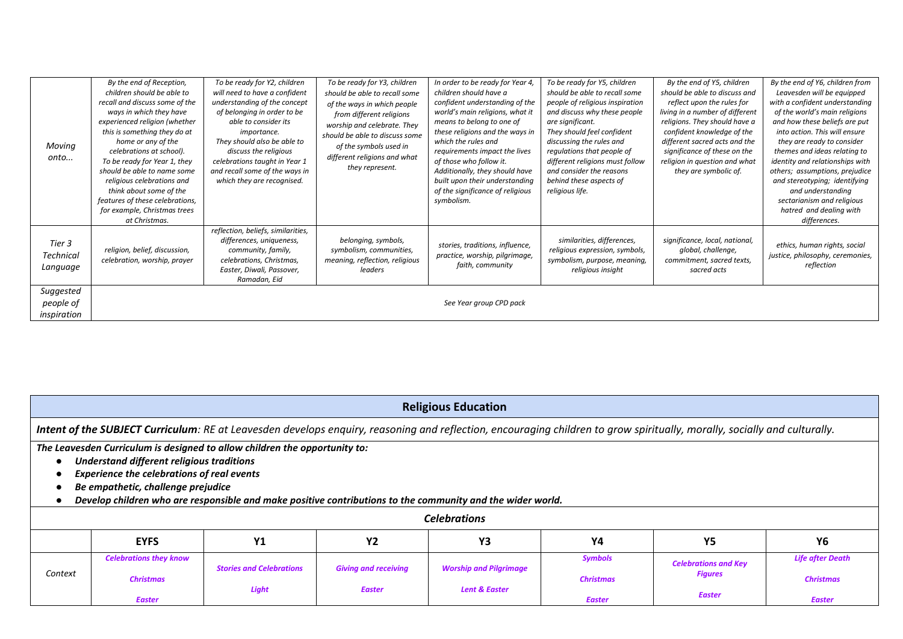|                  | By the end of Reception,        | To be ready for Y2, children       | To be ready for Y3, children   | In order to be ready for Year 4, | To be ready for Y5, children    | By the end of Y5, children      | By the end of Y6, children from  |
|------------------|---------------------------------|------------------------------------|--------------------------------|----------------------------------|---------------------------------|---------------------------------|----------------------------------|
|                  | children should be able to      | will need to have a confident      | should be able to recall some  | children should have a           | should be able to recall some   | should be able to discuss and   | Leavesden will be equipped       |
|                  | recall and discuss some of the  | understanding of the concept       | of the ways in which people    | confident understanding of the   | people of religious inspiration | reflect upon the rules for      | with a confident understanding   |
|                  | ways in which they have         | of belonging in order to be        | from different religions       | world's main religions, what it  | and discuss why these people    | living in a number of different | of the world's main religions    |
|                  | experienced religion (whether   | able to consider its               | worship and celebrate. They    | means to belong to one of        | are significant.                | religions. They should have a   | and how these beliefs are put    |
|                  | this is something they do at    | <i>importance.</i>                 | should be able to discuss some | these religions and the ways in  | They should feel confident      | confident knowledge of the      | into action. This will ensure    |
| Moving           | home or any of the              | They should also be able to        | of the symbols used in         | which the rules and              | discussing the rules and        | different sacred acts and the   | they are ready to consider       |
|                  | celebrations at school).        | discuss the religious              |                                | requirements impact the lives    | regulations that people of      | significance of these on the    | themes and ideas relating to     |
| onto             | To be ready for Year 1, they    | celebrations taught in Year 1      | different religions and what   | of those who follow it.          | different religions must follow | religion in question and what   | identity and relationships with  |
|                  | should be able to name some     | and recall some of the ways in     | they represent.                | Additionally, they should have   | and consider the reasons        | they are symbolic of.           | others; assumptions, prejudice   |
|                  | religious celebrations and      | which they are recognised.         |                                | built upon their understanding   | behind these aspects of         |                                 | and stereotyping; identifying    |
|                  | think about some of the         |                                    |                                | of the significance of religious | religious life.                 |                                 | and understanding                |
|                  | features of these celebrations, |                                    |                                | symbolism.                       |                                 |                                 | sectarianism and religious       |
|                  | for example, Christmas trees    |                                    |                                |                                  |                                 |                                 | hatred and dealing with          |
|                  | at Christmas.                   |                                    |                                |                                  |                                 |                                 | differences.                     |
|                  |                                 | reflection, beliefs, similarities, |                                |                                  |                                 |                                 |                                  |
| Tier 3           |                                 | differences, uniqueness,           | belonging, symbols,            |                                  | similarities, differences,      | significance, local, national,  |                                  |
|                  | religion, belief, discussion,   | community, family,                 | symbolism, communities,        | stories, traditions, influence,  | religious expression, symbols,  | global, challenge,              | ethics, human rights, social     |
| <b>Technical</b> | celebration, worship, prayer    | celebrations, Christmas,           | meaning, reflection, religious | practice, worship, pilgrimage,   | symbolism, purpose, meaning,    | commitment, sacred texts,       | justice, philosophy, ceremonies, |
| Language         |                                 | Easter, Diwali, Passover,          | leaders                        | faith, community                 | religious insight               | sacred acts                     | reflection                       |
|                  |                                 | Ramadan, Eid                       |                                |                                  |                                 |                                 |                                  |
| Suggested        |                                 |                                    |                                |                                  |                                 |                                 |                                  |
| people of        |                                 |                                    |                                | See Year group CPD pack          |                                 |                                 |                                  |
|                  |                                 |                                    |                                |                                  |                                 |                                 |                                  |
| inspiration      |                                 |                                    |                                |                                  |                                 |                                 |                                  |

|                                                                                                                                                                              | <b>Religious Education</b>         |                                 |                             |                                                                                                            |                  |                             |                         |  |  |
|------------------------------------------------------------------------------------------------------------------------------------------------------------------------------|------------------------------------|---------------------------------|-----------------------------|------------------------------------------------------------------------------------------------------------|------------------|-----------------------------|-------------------------|--|--|
| Intent of the SUBJECT Curriculum: RE at Leavesden develops enquiry, reasoning and reflection, encouraging children to grow spiritually, morally, socially and culturally.    |                                    |                                 |                             |                                                                                                            |                  |                             |                         |  |  |
| The Leavesden Curriculum is designed to allow children the opportunity to:<br>Understand different religious traditions<br><b>Experience the celebrations of real events</b> |                                    |                                 |                             |                                                                                                            |                  |                             |                         |  |  |
|                                                                                                                                                                              | Be empathetic, challenge prejudice |                                 |                             |                                                                                                            |                  |                             |                         |  |  |
|                                                                                                                                                                              |                                    |                                 |                             | Develop children who are responsible and make positive contributions to the community and the wider world. |                  |                             |                         |  |  |
|                                                                                                                                                                              |                                    |                                 |                             | <b>Celebrations</b>                                                                                        |                  |                             |                         |  |  |
|                                                                                                                                                                              | <b>EYFS</b>                        | Υ1                              | Y2                          | Y3                                                                                                         | Υ4               | <b>Y5</b>                   | Y6                      |  |  |
|                                                                                                                                                                              | <b>Celebrations they know</b>      |                                 |                             |                                                                                                            | <b>Symbols</b>   | <b>Celebrations and Key</b> | <b>Life after Death</b> |  |  |
| Context                                                                                                                                                                      | <b>Christmas</b>                   | <b>Stories and Celebrations</b> | <b>Giving and receiving</b> | <b>Worship and Pilgrimage</b>                                                                              | <b>Christmas</b> | <b>Figures</b>              | <b>Christmas</b>        |  |  |
|                                                                                                                                                                              | <b>Easter</b>                      | Light                           | <b>Easter</b>               | <b>Lent &amp; Easter</b>                                                                                   | <b>Easter</b>    | <b>Easter</b>               | <b>Easter</b>           |  |  |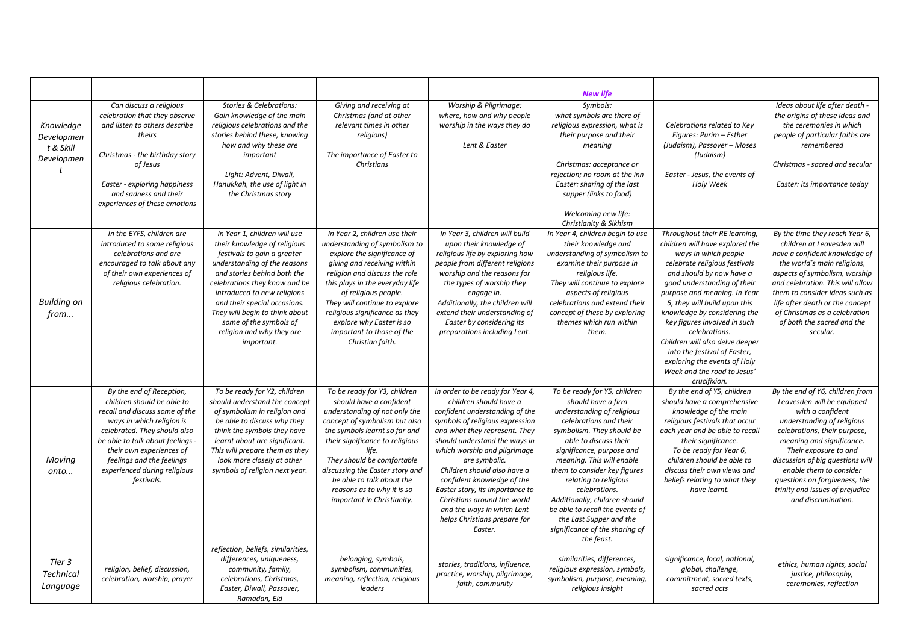|                                                    |                                                                                                                                                                                                                                                                                                  |                                                                                                                                                                                                                                                                                                                                                                   |                                                                                                                                                                                                                                                                                                                                                                          |                                                                                                                                                                                                                                                                                                                                                                                                                                                            | <b>New life</b>                                                                                                                                                                                                                                                                                                                                                                                                                                     |                                                                                                                                                                                                                                                                                                                                                                                                                                                                                         |                                                                                                                                                                                                                                                                                                                                                                 |
|----------------------------------------------------|--------------------------------------------------------------------------------------------------------------------------------------------------------------------------------------------------------------------------------------------------------------------------------------------------|-------------------------------------------------------------------------------------------------------------------------------------------------------------------------------------------------------------------------------------------------------------------------------------------------------------------------------------------------------------------|--------------------------------------------------------------------------------------------------------------------------------------------------------------------------------------------------------------------------------------------------------------------------------------------------------------------------------------------------------------------------|------------------------------------------------------------------------------------------------------------------------------------------------------------------------------------------------------------------------------------------------------------------------------------------------------------------------------------------------------------------------------------------------------------------------------------------------------------|-----------------------------------------------------------------------------------------------------------------------------------------------------------------------------------------------------------------------------------------------------------------------------------------------------------------------------------------------------------------------------------------------------------------------------------------------------|-----------------------------------------------------------------------------------------------------------------------------------------------------------------------------------------------------------------------------------------------------------------------------------------------------------------------------------------------------------------------------------------------------------------------------------------------------------------------------------------|-----------------------------------------------------------------------------------------------------------------------------------------------------------------------------------------------------------------------------------------------------------------------------------------------------------------------------------------------------------------|
| Knowledge<br>Developmen<br>t & Skill<br>Developmen | Can discuss a religious<br>celebration that they observe<br>and listen to others describe<br>theirs<br>Christmas - the birthday story<br>of Jesus<br>Easter - exploring happiness<br>and sadness and their<br>experiences of these emotions                                                      | <b>Stories &amp; Celebrations:</b><br>Gain knowledge of the main<br>religious celebrations and the<br>stories behind these, knowing<br>how and why these are<br>important<br>Light: Advent, Diwali,<br>Hanukkah, the use of light in<br>the Christmas story                                                                                                       | Giving and receiving at<br>Christmas (and at other<br>relevant times in other<br>religions)<br>The importance of Easter to<br><b>Christians</b>                                                                                                                                                                                                                          | Worship & Pilgrimage:<br>where, how and why people<br>worship in the ways they do<br>Lent & Easter                                                                                                                                                                                                                                                                                                                                                         | Symbols:<br>what symbols are there of<br>religious expression, what is<br>their purpose and their<br>meaning<br>Christmas: acceptance or<br>rejection; no room at the inn<br>Easter: sharing of the last<br>supper (links to food)<br>Welcoming new life:<br>Christianity & Sikhism                                                                                                                                                                 | Celebrations related to Key<br>Figures: Purim - Esther<br>(Judaism), Passover - Moses<br>(Judaism)<br>Easter - Jesus, the events of<br>Holy Week                                                                                                                                                                                                                                                                                                                                        | Ideas about life after death -<br>the origins of these ideas and<br>the ceremonies in which<br>people of particular faiths are<br>remembered<br>Christmas - sacred and secular<br>Easter: its importance today                                                                                                                                                  |
| <b>Building on</b><br>from                         | In the EYFS, children are<br>introduced to some religious<br>celebrations and are<br>encouraged to talk about any<br>of their own experiences of<br>religious celebration.                                                                                                                       | In Year 1, children will use<br>their knowledge of religious<br>festivals to gain a greater<br>understanding of the reasons<br>and stories behind both the<br>celebrations they know and be<br>introduced to new religions<br>and their special occasions.<br>They will begin to think about<br>some of the symbols of<br>religion and why they are<br>important. | In Year 2, children use their<br>understanding of symbolism to<br>explore the significance of<br>giving and receiving within<br>religion and discuss the role<br>this plays in the everyday life<br>of religious people.<br>They will continue to explore<br>religious significance as they<br>explore why Easter is so<br>important to those of the<br>Christian faith. | In Year 3, children will build<br>upon their knowledge of<br>religious life by exploring how<br>people from different religions<br>worship and the reasons for<br>the types of worship they<br>engage in.<br>Additionally, the children will<br>extend their understanding of<br>Easter by considering its<br>preparations including Lent.                                                                                                                 | In Year 4, children begin to use<br>their knowledge and<br>understanding of symbolism to<br>examine their purpose in<br>religious life.<br>They will continue to explore<br>aspects of religious<br>celebrations and extend their<br>concept of these by exploring<br>themes which run within<br>them.                                                                                                                                              | Throughout their RE learning,<br>children will have explored the<br>ways in which people<br>celebrate religious festivals<br>and should by now have a<br>good understanding of their<br>purpose and meaning. In Year<br>5, they will build upon this<br>knowledge by considering the<br>key figures involved in such<br>celebrations.<br>Children will also delve deeper<br>into the festival of Easter,<br>exploring the events of Holy<br>Week and the road to Jesus'<br>crucifixion. | By the time they reach Year 6,<br>children at Leavesden will<br>have a confident knowledge of<br>the world's main religions,<br>aspects of symbolism, worship<br>and celebration. This will allow<br>them to consider ideas such as<br>life after death or the concept<br>of Christmas as a celebration<br>of both the sacred and the<br>secular.               |
| Moving<br>onto                                     | By the end of Reception,<br>children should be able to<br>recall and discuss some of the<br>ways in which religion is<br>celebrated. They should also<br>be able to talk about feelings -<br>their own experiences of<br>feelings and the feelings<br>experienced during religious<br>festivals. | To be ready for Y2, children<br>should understand the concept<br>of symbolism in religion and<br>be able to discuss why they<br>think the symbols they have<br>learnt about are significant.<br>This will prepare them as they<br>look more closely at other<br>symbols of religion next year.                                                                    | To be ready for Y3, children<br>should have a confident<br>understanding of not only the<br>concept of symbolism but also<br>the symbols learnt so far and<br>their significance to religious<br>life.<br>They should be comfortable<br>discussing the Easter story and<br>be able to talk about the<br>reasons as to why it is so<br>important in Christianity.         | In order to be ready for Year 4,<br>children should have a<br>confident understanding of the<br>symbols of religious expression<br>and what they represent. They<br>should understand the ways in<br>which worship and pilgrimage<br>are symbolic.<br>Children should also have a<br>confident knowledge of the<br>Easter story, its importance to<br>Christians around the world<br>and the ways in which Lent<br>helps Christians prepare for<br>Easter. | To be ready for Y5, children<br>should have a firm<br>understanding of religious<br>celebrations and their<br>symbolism. They should be<br>able to discuss their<br>significance, purpose and<br>meaning. This will enable<br>them to consider key figures<br>relating to religious<br>celebrations.<br>Additionally, children should<br>be able to recall the events of<br>the Last Supper and the<br>significance of the sharing of<br>the feast. | By the end of Y5, children<br>should have a comprehensive<br>knowledge of the main<br>religious festivals that occur<br>each year and be able to recall<br>their significance.<br>To be ready for Year 6,<br>children should be able to<br>discuss their own views and<br>beliefs relating to what they<br>have learnt.                                                                                                                                                                 | By the end of Y6, children from<br>Leavesden will be equipped<br>with a confident<br>understanding of religious<br>celebrations, their purpose,<br>meaning and significance.<br>Their exposure to and<br>discussion of big questions will<br>enable them to consider<br>questions on forgiveness, the<br>trinity and issues of prejudice<br>and discrimination. |
| Tier 3<br><b>Technical</b><br>Language             | religion, belief, discussion,<br>celebration, worship, prayer                                                                                                                                                                                                                                    | reflection, beliefs, similarities,<br>differences, uniqueness,<br>community, family,<br>celebrations, Christmas,<br>Easter, Diwali, Passover,<br>Ramadan, Eid                                                                                                                                                                                                     | belonging, symbols,<br>symbolism, communities,<br>meaning, reflection, religious<br>leaders                                                                                                                                                                                                                                                                              | stories, traditions, influence,<br>practice, worship, pilgrimage,<br>faith, community                                                                                                                                                                                                                                                                                                                                                                      | similarities, differences,<br>religious expression, symbols,<br>symbolism, purpose, meaning,<br>religious insight                                                                                                                                                                                                                                                                                                                                   | significance, local, national,<br>global, challenge,<br>commitment, sacred texts,<br>sacred acts                                                                                                                                                                                                                                                                                                                                                                                        | ethics, human rights, social<br>justice, philosophy,<br>ceremonies, reflection                                                                                                                                                                                                                                                                                  |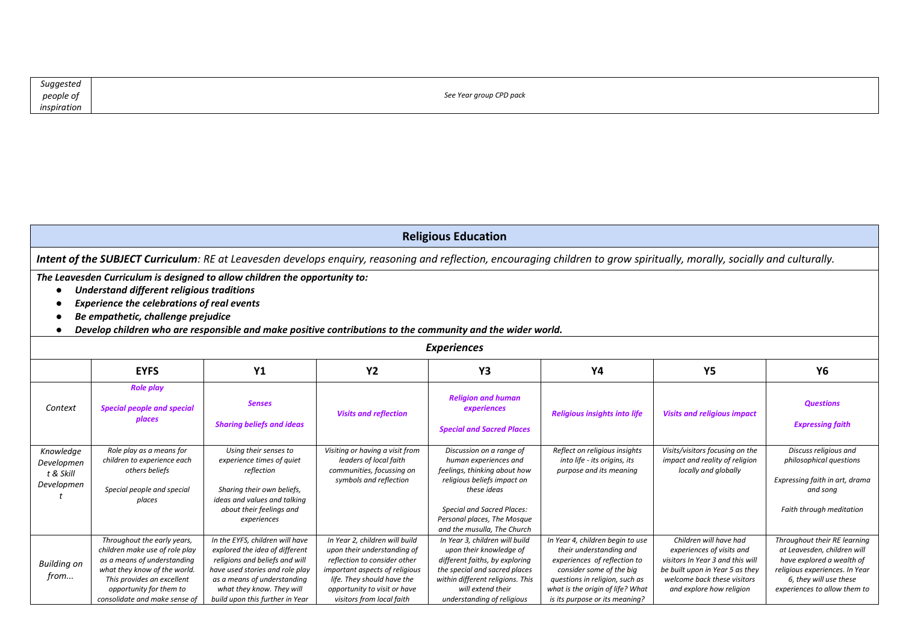| Suggested   |                         |
|-------------|-------------------------|
| people of   | See Year group CPD pack |
| inspiration |                         |

|  | <b>Religious Education</b> |
|--|----------------------------|
|--|----------------------------|

*Intent of the SUBJECT Curriculum: RE at Leavesden develops enquiry, reasoning and reflection, encouraging children to grow spiritually, morally, socially and culturally.* 

*The Leavesden Curriculum is designed to allow children the opportunity to:* 

- *Understand different religious traditions*
- *Experience the celebrations of real events*
- *Be empathetic, challenge prejudice*
- *Develop children who are responsible and make positive contributions to the community and the wider world.*

|                                                    | <b>Experiences</b>                                                                                                                                                                                                     |                                                                                                                                                                                                                                       |                                                                                                                                                                                                                            |                                                                                                                                                                                                                                    |                                                                                                                                                                                                                                 |                                                                                                                                                                                       |                                                                                                                                                                                      |  |  |  |
|----------------------------------------------------|------------------------------------------------------------------------------------------------------------------------------------------------------------------------------------------------------------------------|---------------------------------------------------------------------------------------------------------------------------------------------------------------------------------------------------------------------------------------|----------------------------------------------------------------------------------------------------------------------------------------------------------------------------------------------------------------------------|------------------------------------------------------------------------------------------------------------------------------------------------------------------------------------------------------------------------------------|---------------------------------------------------------------------------------------------------------------------------------------------------------------------------------------------------------------------------------|---------------------------------------------------------------------------------------------------------------------------------------------------------------------------------------|--------------------------------------------------------------------------------------------------------------------------------------------------------------------------------------|--|--|--|
|                                                    | <b>EYFS</b>                                                                                                                                                                                                            | <b>Y1</b>                                                                                                                                                                                                                             | <b>Y2</b>                                                                                                                                                                                                                  | Y3                                                                                                                                                                                                                                 | <b>Y4</b>                                                                                                                                                                                                                       | <b>Y5</b>                                                                                                                                                                             | <b>Y6</b>                                                                                                                                                                            |  |  |  |
| Context                                            | <b>Role play</b><br><b>Special people and special</b><br>places                                                                                                                                                        | <b>Senses</b><br><b>Sharing beliefs and ideas</b>                                                                                                                                                                                     | <b>Visits and reflection</b>                                                                                                                                                                                               | <b>Religion and human</b><br>experiences<br><b>Special and Sacred Places</b>                                                                                                                                                       | <b>Religious insights into life</b>                                                                                                                                                                                             | <b>Visits and religious impact</b>                                                                                                                                                    | <b>Questions</b><br><b>Expressing faith</b>                                                                                                                                          |  |  |  |
| Knowledge<br>Developmen<br>t & Skill<br>Developmen | Role play as a means for<br>children to experience each<br>others beliefs<br>Special people and special<br>places                                                                                                      | Using their senses to<br>experience times of quiet<br>reflection<br>Sharing their own beliefs,<br>ideas and values and talking<br>about their feelings and<br>experiences                                                             | Visiting or having a visit from<br>leaders of local faith<br>communities, focussing on<br>symbols and reflection                                                                                                           | Discussion on a range of<br>human experiences and<br>feelings, thinking about how<br>religious beliefs impact on<br>these ideas<br><b>Special and Sacred Places:</b><br>Personal places, The Mosque<br>and the musulla, The Church | Reflect on religious insights<br>into life - its origins, its<br>purpose and its meaning                                                                                                                                        | Visits/visitors focusing on the<br>impact and reality of religion<br>locally and globally                                                                                             | Discuss religious and<br>philosophical questions<br>Expressing faith in art, drama<br>and song<br>Faith through meditation                                                           |  |  |  |
| <b>Building on</b><br>from                         | Throughout the early years,<br>children make use of role play<br>as a means of understanding<br>what they know of the world.<br>This provides an excellent<br>opportunity for them to<br>consolidate and make sense of | In the EYFS, children will have<br>explored the idea of different<br>religions and beliefs and will<br>have used stories and role play<br>as a means of understanding<br>what they know. They will<br>build upon this further in Year | In Year 2, children will build<br>upon their understanding of<br>reflection to consider other<br>important aspects of religious<br>life. They should have the<br>opportunity to visit or have<br>visitors from local faith | In Year 3, children will build<br>upon their knowledge of<br>different faiths, by exploring<br>the special and sacred places<br>within different religions. This<br>will extend their<br>understanding of religious                | In Year 4, children begin to use<br>their understanding and<br>experiences of reflection to<br>consider some of the big<br>questions in religion, such as<br>what is the origin of life? What<br>is its purpose or its meaning? | Children will have had<br>experiences of visits and<br>visitors In Year 3 and this will<br>be built upon in Year 5 as they<br>welcome back these visitors<br>and explore how religion | Throughout their RE learning<br>at Leavesden, children will<br>have explored a wealth of<br>religious experiences. In Year<br>6, they will use these<br>experiences to allow them to |  |  |  |